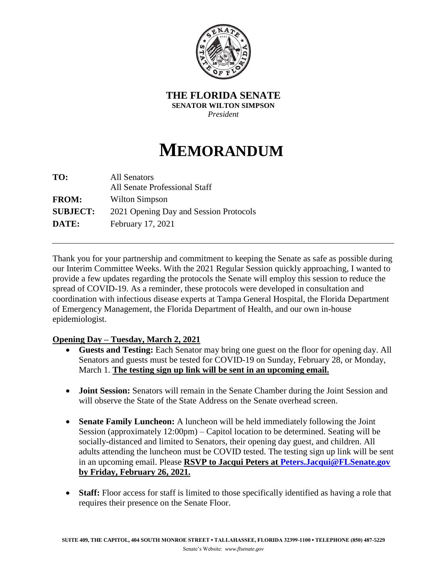

**THE FLORIDA SENATE SENATOR WILTON SIMPSON** *President*

## **MEMORANDUM**

| TO:             | All Senators                           |
|-----------------|----------------------------------------|
|                 | All Senate Professional Staff          |
| <b>FROM:</b>    | Wilton Simpson                         |
| <b>SUBJECT:</b> | 2021 Opening Day and Session Protocols |
| DATE:           | February 17, 2021                      |

Thank you for your partnership and commitment to keeping the Senate as safe as possible during our Interim Committee Weeks. With the 2021 Regular Session quickly approaching, I wanted to provide a few updates regarding the protocols the Senate will employ this session to reduce the spread of COVID-19. As a reminder, these protocols were developed in consultation and coordination with infectious disease experts at Tampa General Hospital, the Florida Department of Emergency Management, the Florida Department of Health, and our own in-house epidemiologist.

## **Opening Day – Tuesday, March 2, 2021**

- **Guests and Testing:** Each Senator may bring one guest on the floor for opening day. All Senators and guests must be tested for COVID-19 on Sunday, February 28, or Monday, March 1. **The testing sign up link will be sent in an upcoming email.**
- **Joint Session:** Senators will remain in the Senate Chamber during the Joint Session and will observe the State of the State Address on the Senate overhead screen.
- **Senate Family Luncheon:** A luncheon will be held immediately following the Joint Session (approximately 12:00pm) – Capitol location to be determined. Seating will be socially-distanced and limited to Senators, their opening day guest, and children. All adults attending the luncheon must be COVID tested. The testing sign up link will be sent in an upcoming email. Please **RSVP to Jacqui Peters at [Peters.Jacqui@FLSenate.gov](mailto:Peters.Jacqui@FLSenate.gov) by Friday, February 26, 2021.**
- **Staff:** Floor access for staff is limited to those specifically identified as having a role that requires their presence on the Senate Floor.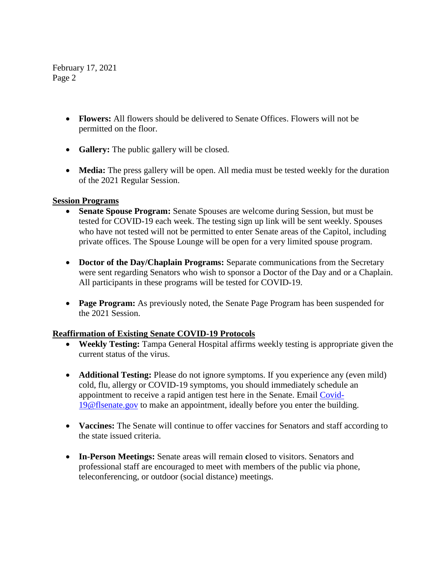February 17, 2021 Page 2

- **Flowers:** All flowers should be delivered to Senate Offices. Flowers will not be permitted on the floor.
- **Gallery:** The public gallery will be closed.
- **Media:** The press gallery will be open. All media must be tested weekly for the duration of the 2021 Regular Session.

## **Session Programs**

- **Senate Spouse Program:** Senate Spouses are welcome during Session, but must be tested for COVID-19 each week. The testing sign up link will be sent weekly. Spouses who have not tested will not be permitted to enter Senate areas of the Capitol, including private offices. The Spouse Lounge will be open for a very limited spouse program.
- Doctor of the Day/Chaplain Programs: Separate communications from the Secretary were sent regarding Senators who wish to sponsor a Doctor of the Day and or a Chaplain. All participants in these programs will be tested for COVID-19.
- **Page Program:** As previously noted, the Senate Page Program has been suspended for the 2021 Session.

## **Reaffirmation of Existing Senate COVID-19 Protocols**

- **Weekly Testing:** Tampa General Hospital affirms weekly testing is appropriate given the current status of the virus.
- **Additional Testing:** Please do not ignore symptoms. If you experience any (even mild) cold, flu, allergy or COVID-19 symptoms, you should immediately schedule an appointment to receive a rapid antigen test here in the Senate. Email [Covid-](mailto:Covid-19@flsenate.gov)[19@flsenate.gov](mailto:Covid-19@flsenate.gov) to make an appointment, ideally before you enter the building.
- **Vaccines:** The Senate will continue to offer vaccines for Senators and staff according to the state issued criteria.
- **In-Person Meetings:** Senate areas will remain **c**losed to visitors. Senators and professional staff are encouraged to meet with members of the public via phone, teleconferencing, or outdoor (social distance) meetings.